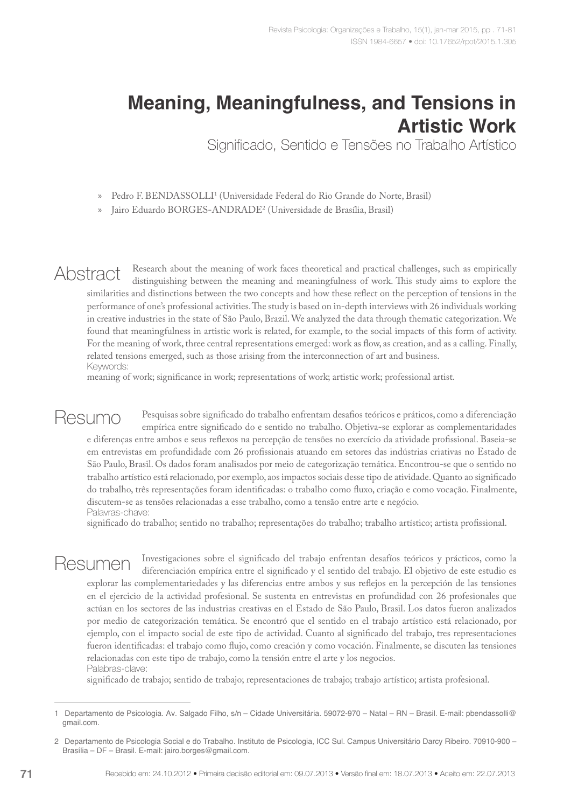# **Meaning, Meaningfulness, and Tensions in Artistic Work**

Significado, Sentido e Tensões no Trabalho Artístico

» Pedro F. BENDASSOLLI1 (Universidade Federal do Rio Grande do Norte, Brasil)

» Jairo Eduardo BORGES-ANDRADE2 (Universidade de Brasília, Brasil)

Abstract Research about the meaning of work faces theoretical and practical challenges, such as empirically distinguishing between the meaning and meaningfulness of work. This study aims to explore the similarities and distinctions between the two concepts and how these reflect on the perception of tensions in the performance of one's professional activities. The study is based on in-depth interviews with 26 individuals working in creative industries in the state of São Paulo, Brazil. We analyzed the data through thematic categorization. We found that meaningfulness in artistic work is related, for example, to the social impacts of this form of activity. For the meaning of work, three central representations emerged: work as flow, as creation, and as a calling. Finally, related tensions emerged, such as those arising from the interconnection of art and business. Keywords:

meaning of work; significance in work; representations of work; artistic work; professional artist.

Resumo Pesquisas sobre significado do trabalho enfrentam desafios teóricos e práticos, como a diferenciação empírica entre significado do e sentido no trabalho. Objetiva-se explorar as complementaridades e diferenças entre ambos e seus reflexos na percepção de tensões no exercício da atividade profissional. Baseia-se em entrevistas em profundidade com 26 profissionais atuando em setores das indústrias criativas no Estado de São Paulo, Brasil. Os dados foram analisados por meio de categorização temática. Encontrou-se que o sentido no trabalho artístico está relacionado, por exemplo, aos impactos sociais desse tipo de atividade. Quanto ao significado do trabalho, três representações foram identificadas: o trabalho como fluxo, criação e como vocação. Finalmente, discutem-se as tensões relacionadas a esse trabalho, como a tensão entre arte e negócio. Palavras-chave:

significado do trabalho; sentido no trabalho; representações do trabalho; trabalho artístico; artista profissional.

Investigaciones sobre el significado del trabajo enfrentan desafíos teóricos y prácticos, como la diferenciación empírica entre el significado y el sentido del trabajo. El objetivo de este estudio es explorar las complementariedades y las diferencias entre ambos y sus reflejos en la percepción de las tensiones en el ejercicio de la actividad profesional. Se sustenta en entrevistas en profundidad con 26 profesionales que actúan en los sectores de las industrias creativas en el Estado de São Paulo, Brasil. Los datos fueron analizados por medio de categorización temática. Se encontró que el sentido en el trabajo artístico está relacionado, por ejemplo, con el impacto social de este tipo de actividad. Cuanto al significado del trabajo, tres representaciones fueron identificadas: el trabajo como flujo, como creación y como vocación. Finalmente, se discuten las tensiones relacionadas con este tipo de trabajo, como la tensión entre el arte y los negocios. Palabras-clave: Resumen

significado de trabajo; sentido de trabajo; representaciones de trabajo; trabajo artístico; artista profesional.

<sup>1</sup> Departamento de Psicologia. Av. Salgado Filho, s/n – Cidade Universitária. 59072-970 – Natal – RN – Brasil. E-mail: pbendassolli@ gmail.com.

<sup>2</sup> Departamento de Psicologia Social e do Trabalho. Instituto de Psicologia, ICC Sul. Campus Universitário Darcy Ribeiro. 70910-900 – Brasília – DF – Brasil. E-mail: jairo.borges@gmail.com.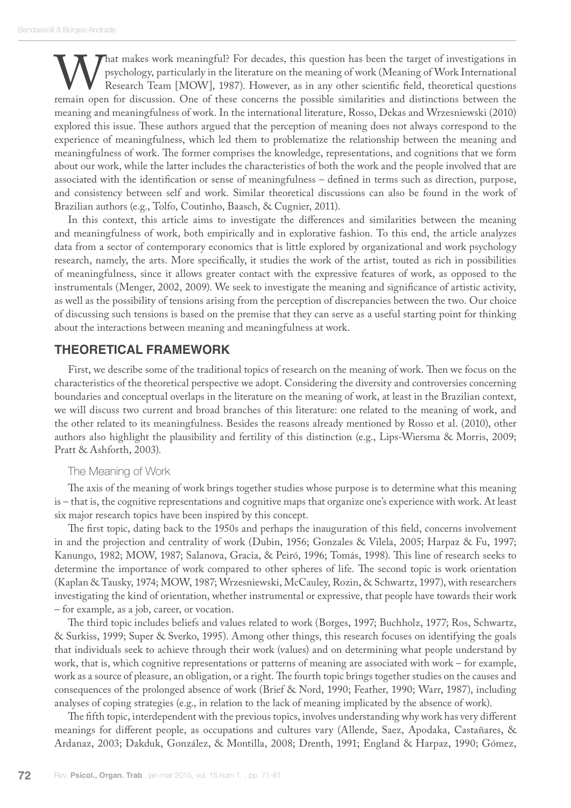What makes work meaningful? For decades, this question has been the target of investigations in psychology, particularly in the literature on the meaning of work (Meaning of Work International Research Team [MOW], 1987). H psychology, particularly in the literature on the meaning of work (Meaning of Work International Research Team [MOW], 1987). However, as in any other scientific field, theoretical questions remain open for discussion. One of these concerns the possible similarities and distinctions between the meaning and meaningfulness of work. In the international literature, Rosso, Dekas and Wrzesniewski (2010) explored this issue. These authors argued that the perception of meaning does not always correspond to the experience of meaningfulness, which led them to problematize the relationship between the meaning and meaningfulness of work. The former comprises the knowledge, representations, and cognitions that we form about our work, while the latter includes the characteristics of both the work and the people involved that are associated with the identification or sense of meaningfulness – defined in terms such as direction, purpose, and consistency between self and work. Similar theoretical discussions can also be found in the work of Brazilian authors (e.g., Tolfo, Coutinho, Baasch, & Cugnier, 2011).

In this context, this article aims to investigate the differences and similarities between the meaning and meaningfulness of work, both empirically and in explorative fashion. To this end, the article analyzes data from a sector of contemporary economics that is little explored by organizational and work psychology research, namely, the arts. More specifically, it studies the work of the artist, touted as rich in possibilities of meaningfulness, since it allows greater contact with the expressive features of work, as opposed to the instrumentals (Menger, 2002, 2009). We seek to investigate the meaning and significance of artistic activity, as well as the possibility of tensions arising from the perception of discrepancies between the two. Our choice of discussing such tensions is based on the premise that they can serve as a useful starting point for thinking about the interactions between meaning and meaningfulness at work.

## **THEORETICAL FRAMEWORK**

First, we describe some of the traditional topics of research on the meaning of work. Then we focus on the characteristics of the theoretical perspective we adopt. Considering the diversity and controversies concerning boundaries and conceptual overlaps in the literature on the meaning of work, at least in the Brazilian context, we will discuss two current and broad branches of this literature: one related to the meaning of work, and the other related to its meaningfulness. Besides the reasons already mentioned by Rosso et al. (2010), other authors also highlight the plausibility and fertility of this distinction (e.g., Lips-Wiersma & Morris, 2009; Pratt & Ashforth, 2003).

### The Meaning of Work

The axis of the meaning of work brings together studies whose purpose is to determine what this meaning is – that is, the cognitive representations and cognitive maps that organize one's experience with work. At least six major research topics have been inspired by this concept.

The first topic, dating back to the 1950s and perhaps the inauguration of this field, concerns involvement in and the projection and centrality of work (Dubin, 1956; Gonzales & Vilela, 2005; Harpaz & Fu, 1997; Kanungo, 1982; MOW, 1987; Salanova, Gracia, & Peiró, 1996; Tomás, 1998). This line of research seeks to determine the importance of work compared to other spheres of life. The second topic is work orientation (Kaplan & Tausky, 1974; MOW, 1987; Wrzesniewski, McCauley, Rozin, & Schwartz, 1997), with researchers investigating the kind of orientation, whether instrumental or expressive, that people have towards their work – for example, as a job, career, or vocation.

The third topic includes beliefs and values related to work (Borges, 1997; Buchholz, 1977; Ros, Schwartz, & Surkiss, 1999; Super & Sverko, 1995). Among other things, this research focuses on identifying the goals that individuals seek to achieve through their work (values) and on determining what people understand by work, that is, which cognitive representations or patterns of meaning are associated with work – for example, work as a source of pleasure, an obligation, or a right. The fourth topic brings together studies on the causes and consequences of the prolonged absence of work (Brief & Nord, 1990; Feather, 1990; Warr, 1987), including analyses of coping strategies (e.g., in relation to the lack of meaning implicated by the absence of work).

The fifth topic, interdependent with the previous topics, involves understanding why work has very different meanings for different people, as occupations and cultures vary (Allende, Saez, Apodaka, Castañares, & Ardanaz, 2003; Dakduk, González, & Montilla, 2008; Drenth, 1991; England & Harpaz, 1990; Gómez,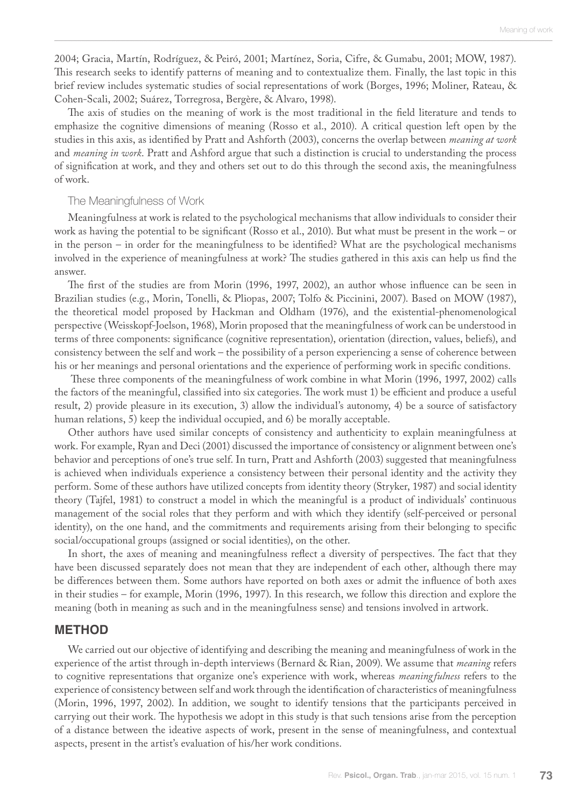2004; Gracia, Martín, Rodríguez, & Peiró, 2001; Martínez, Soria, Cifre, & Gumabu, 2001; MOW, 1987). This research seeks to identify patterns of meaning and to contextualize them. Finally, the last topic in this brief review includes systematic studies of social representations of work (Borges, 1996; Moliner, Rateau, & Cohen-Scali, 2002; Suárez, Torregrosa, Bergère, & Alvaro, 1998).

The axis of studies on the meaning of work is the most traditional in the field literature and tends to emphasize the cognitive dimensions of meaning (Rosso et al., 2010). A critical question left open by the studies in this axis, as identified by Pratt and Ashforth (2003), concerns the overlap between *meaning at work* and *meaning in work*. Pratt and Ashford argue that such a distinction is crucial to understanding the process of signification at work, and they and others set out to do this through the second axis, the meaningfulness of work.

#### The Meaningfulness of Work

Meaningfulness at work is related to the psychological mechanisms that allow individuals to consider their work as having the potential to be significant (Rosso et al., 2010). But what must be present in the work – or in the person – in order for the meaningfulness to be identified? What are the psychological mechanisms involved in the experience of meaningfulness at work? The studies gathered in this axis can help us find the answer.

The first of the studies are from Morin (1996, 1997, 2002), an author whose influence can be seen in Brazilian studies (e.g., Morin, Tonelli, & Pliopas, 2007; Tolfo & Piccinini, 2007). Based on MOW (1987), the theoretical model proposed by Hackman and Oldham (1976), and the existential-phenomenological perspective (Weisskopf-Joelson, 1968), Morin proposed that the meaningfulness of work can be understood in terms of three components: significance (cognitive representation), orientation (direction, values, beliefs), and consistency between the self and work – the possibility of a person experiencing a sense of coherence between his or her meanings and personal orientations and the experience of performing work in specific conditions.

 These three components of the meaningfulness of work combine in what Morin (1996, 1997, 2002) calls the factors of the meaningful, classified into six categories. The work must 1) be efficient and produce a useful result, 2) provide pleasure in its execution, 3) allow the individual's autonomy, 4) be a source of satisfactory human relations, 5) keep the individual occupied, and 6) be morally acceptable.

Other authors have used similar concepts of consistency and authenticity to explain meaningfulness at work. For example, Ryan and Deci (2001) discussed the importance of consistency or alignment between one's behavior and perceptions of one's true self. In turn, Pratt and Ashforth (2003) suggested that meaningfulness is achieved when individuals experience a consistency between their personal identity and the activity they perform. Some of these authors have utilized concepts from identity theory (Stryker, 1987) and social identity theory (Tajfel, 1981) to construct a model in which the meaningful is a product of individuals' continuous management of the social roles that they perform and with which they identify (self-perceived or personal identity), on the one hand, and the commitments and requirements arising from their belonging to specific social/occupational groups (assigned or social identities), on the other.

In short, the axes of meaning and meaningfulness reflect a diversity of perspectives. The fact that they have been discussed separately does not mean that they are independent of each other, although there may be differences between them. Some authors have reported on both axes or admit the influence of both axes in their studies – for example, Morin (1996, 1997). In this research, we follow this direction and explore the meaning (both in meaning as such and in the meaningfulness sense) and tensions involved in artwork.

## **METHOD**

We carried out our objective of identifying and describing the meaning and meaningfulness of work in the experience of the artist through in-depth interviews (Bernard & Rian, 2009). We assume that *meaning* refers to cognitive representations that organize one's experience with work, whereas *meaningfulness* refers to the experience of consistency between self and work through the identification of characteristics of meaningfulness (Morin, 1996, 1997, 2002). In addition, we sought to identify tensions that the participants perceived in carrying out their work. The hypothesis we adopt in this study is that such tensions arise from the perception of a distance between the ideative aspects of work, present in the sense of meaningfulness, and contextual aspects, present in the artist's evaluation of his/her work conditions.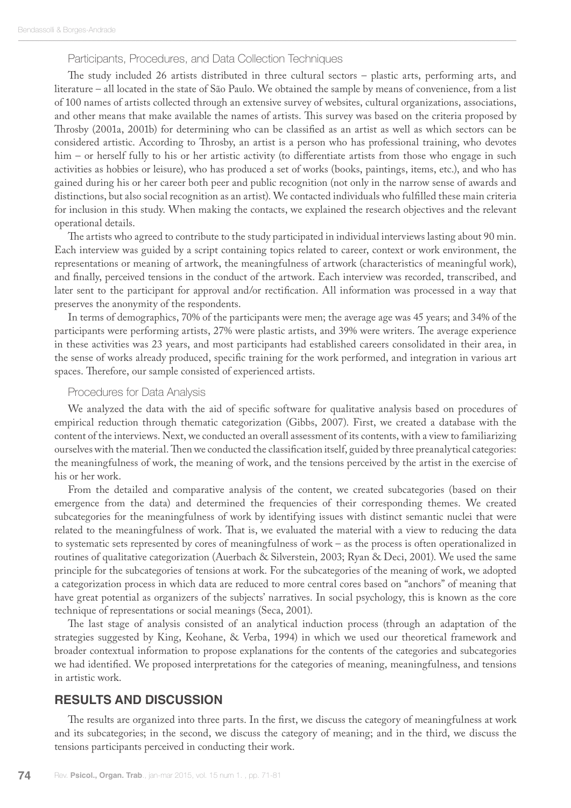## Participants, Procedures, and Data Collection Techniques

The study included 26 artists distributed in three cultural sectors – plastic arts, performing arts, and literature – all located in the state of São Paulo. We obtained the sample by means of convenience, from a list of 100 names of artists collected through an extensive survey of websites, cultural organizations, associations, and other means that make available the names of artists. This survey was based on the criteria proposed by Throsby (2001a, 2001b) for determining who can be classified as an artist as well as which sectors can be considered artistic. According to Throsby, an artist is a person who has professional training, who devotes him – or herself fully to his or her artistic activity (to differentiate artists from those who engage in such activities as hobbies or leisure), who has produced a set of works (books, paintings, items, etc.), and who has gained during his or her career both peer and public recognition (not only in the narrow sense of awards and distinctions, but also social recognition as an artist). We contacted individuals who fulfilled these main criteria for inclusion in this study. When making the contacts, we explained the research objectives and the relevant operational details.

The artists who agreed to contribute to the study participated in individual interviews lasting about 90 min. Each interview was guided by a script containing topics related to career, context or work environment, the representations or meaning of artwork, the meaningfulness of artwork (characteristics of meaningful work), and finally, perceived tensions in the conduct of the artwork. Each interview was recorded, transcribed, and later sent to the participant for approval and/or rectification. All information was processed in a way that preserves the anonymity of the respondents.

In terms of demographics, 70% of the participants were men; the average age was 45 years; and 34% of the participants were performing artists, 27% were plastic artists, and 39% were writers. The average experience in these activities was 23 years, and most participants had established careers consolidated in their area, in the sense of works already produced, specific training for the work performed, and integration in various art spaces. Therefore, our sample consisted of experienced artists.

## Procedures for Data Analysis

We analyzed the data with the aid of specific software for qualitative analysis based on procedures of empirical reduction through thematic categorization (Gibbs, 2007). First, we created a database with the content of the interviews. Next, we conducted an overall assessment of its contents, with a view to familiarizing ourselves with the material. Then we conducted the classification itself, guided by three preanalytical categories: the meaningfulness of work, the meaning of work, and the tensions perceived by the artist in the exercise of his or her work.

From the detailed and comparative analysis of the content, we created subcategories (based on their emergence from the data) and determined the frequencies of their corresponding themes. We created subcategories for the meaningfulness of work by identifying issues with distinct semantic nuclei that were related to the meaningfulness of work. That is, we evaluated the material with a view to reducing the data to systematic sets represented by cores of meaningfulness of work – as the process is often operationalized in routines of qualitative categorization (Auerbach & Silverstein, 2003; Ryan & Deci, 2001). We used the same principle for the subcategories of tensions at work. For the subcategories of the meaning of work, we adopted a categorization process in which data are reduced to more central cores based on "anchors" of meaning that have great potential as organizers of the subjects' narratives. In social psychology, this is known as the core technique of representations or social meanings (Seca, 2001).

The last stage of analysis consisted of an analytical induction process (through an adaptation of the strategies suggested by King, Keohane, & Verba, 1994) in which we used our theoretical framework and broader contextual information to propose explanations for the contents of the categories and subcategories we had identified. We proposed interpretations for the categories of meaning, meaningfulness, and tensions in artistic work.

## **RESULTS AND DISCUSSION**

The results are organized into three parts. In the first, we discuss the category of meaningfulness at work and its subcategories; in the second, we discuss the category of meaning; and in the third, we discuss the tensions participants perceived in conducting their work.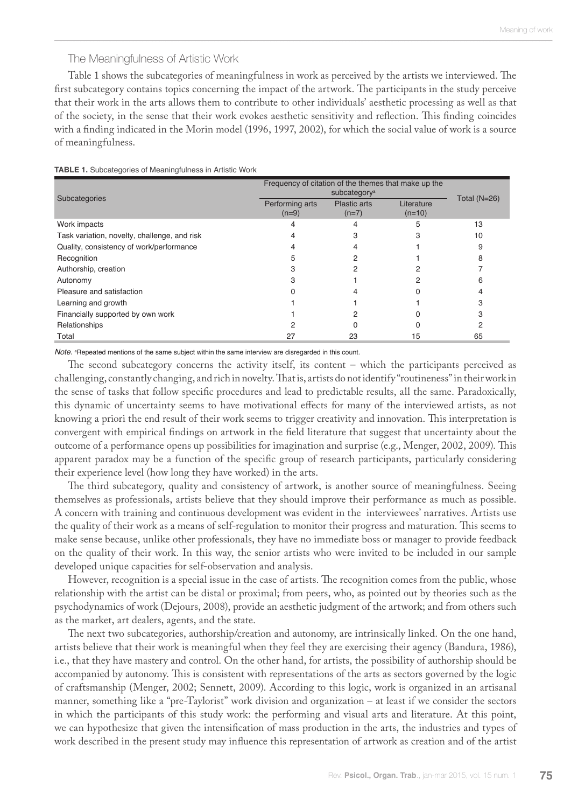## The Meaningfulness of Artistic Work

Table 1 shows the subcategories of meaningfulness in work as perceived by the artists we interviewed. The first subcategory contains topics concerning the impact of the artwork. The participants in the study perceive that their work in the arts allows them to contribute to other individuals' aesthetic processing as well as that of the society, in the sense that their work evokes aesthetic sensitivity and reflection. This finding coincides with a finding indicated in the Morin model (1996, 1997, 2002), for which the social value of work is a source of meaningfulness.

|                                              | Frequency of citation of the themes that make up the |                                                          |    |                |  |
|----------------------------------------------|------------------------------------------------------|----------------------------------------------------------|----|----------------|--|
| Subcategories                                | Performing arts<br>$(n=9)$                           | <b>Plastic arts</b><br>Literature<br>$(n=10)$<br>$(n=7)$ |    | Total $(N=26)$ |  |
| Work impacts                                 |                                                      |                                                          |    | 13             |  |
| Task variation, novelty, challenge, and risk |                                                      |                                                          |    | 10             |  |
| Quality, consistency of work/performance     |                                                      |                                                          |    | 9              |  |
| Recognition                                  |                                                      |                                                          |    |                |  |
| Authorship, creation                         |                                                      |                                                          |    |                |  |
| Autonomy                                     |                                                      |                                                          |    |                |  |
| Pleasure and satisfaction                    |                                                      |                                                          |    |                |  |
| Learning and growth                          |                                                      |                                                          |    |                |  |
| Financially supported by own work            |                                                      |                                                          |    |                |  |
| Relationships                                |                                                      |                                                          |    |                |  |
| Total                                        | 27                                                   | 23                                                       | 15 | 65             |  |

#### **TABLE 1.** Subcategories of Meaningfulness in Artistic Work

*Note.* <sup>a</sup>Repeated mentions of the same subject within the same interview are disregarded in this count.

The second subcategory concerns the activity itself, its content – which the participants perceived as challenging, constantly changing, and rich in novelty. That is, artists do not identify "routineness" in their work in the sense of tasks that follow specific procedures and lead to predictable results, all the same. Paradoxically, this dynamic of uncertainty seems to have motivational effects for many of the interviewed artists, as not knowing a priori the end result of their work seems to trigger creativity and innovation. This interpretation is convergent with empirical findings on artwork in the field literature that suggest that uncertainty about the outcome of a performance opens up possibilities for imagination and surprise (e.g., Menger, 2002, 2009). This apparent paradox may be a function of the specific group of research participants, particularly considering their experience level (how long they have worked) in the arts.

The third subcategory, quality and consistency of artwork, is another source of meaningfulness. Seeing themselves as professionals, artists believe that they should improve their performance as much as possible. A concern with training and continuous development was evident in the interviewees' narratives. Artists use the quality of their work as a means of self-regulation to monitor their progress and maturation. This seems to make sense because, unlike other professionals, they have no immediate boss or manager to provide feedback on the quality of their work. In this way, the senior artists who were invited to be included in our sample developed unique capacities for self-observation and analysis.

However, recognition is a special issue in the case of artists. The recognition comes from the public, whose relationship with the artist can be distal or proximal; from peers, who, as pointed out by theories such as the psychodynamics of work (Dejours, 2008), provide an aesthetic judgment of the artwork; and from others such as the market, art dealers, agents, and the state.

The next two subcategories, authorship/creation and autonomy, are intrinsically linked. On the one hand, artists believe that their work is meaningful when they feel they are exercising their agency (Bandura, 1986), i.e., that they have mastery and control. On the other hand, for artists, the possibility of authorship should be accompanied by autonomy. This is consistent with representations of the arts as sectors governed by the logic of craftsmanship (Menger, 2002; Sennett, 2009). According to this logic, work is organized in an artisanal manner, something like a "pre-Taylorist" work division and organization – at least if we consider the sectors in which the participants of this study work: the performing and visual arts and literature. At this point, we can hypothesize that given the intensification of mass production in the arts, the industries and types of work described in the present study may influence this representation of artwork as creation and of the artist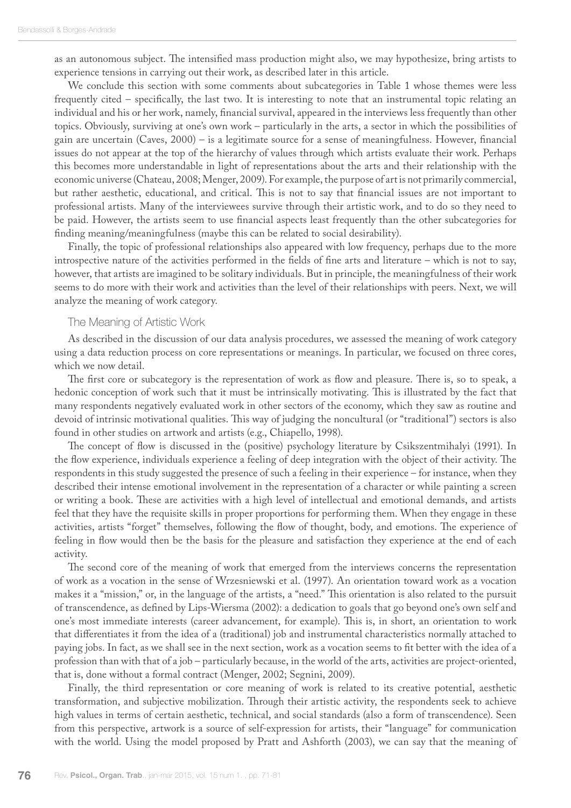as an autonomous subject. The intensified mass production might also, we may hypothesize, bring artists to experience tensions in carrying out their work, as described later in this article.

We conclude this section with some comments about subcategories in Table 1 whose themes were less frequently cited – specifically, the last two. It is interesting to note that an instrumental topic relating an individual and his or her work, namely, financial survival, appeared in the interviews less frequently than other topics. Obviously, surviving at one's own work – particularly in the arts, a sector in which the possibilities of gain are uncertain (Caves, 2000) – is a legitimate source for a sense of meaningfulness. However, financial issues do not appear at the top of the hierarchy of values through which artists evaluate their work. Perhaps this becomes more understandable in light of representations about the arts and their relationship with the economic universe (Chateau, 2008; Menger, 2009). For example, the purpose of art is not primarily commercial, but rather aesthetic, educational, and critical. This is not to say that financial issues are not important to professional artists. Many of the interviewees survive through their artistic work, and to do so they need to be paid. However, the artists seem to use financial aspects least frequently than the other subcategories for finding meaning/meaningfulness (maybe this can be related to social desirability).

Finally, the topic of professional relationships also appeared with low frequency, perhaps due to the more introspective nature of the activities performed in the fields of fine arts and literature – which is not to say, however, that artists are imagined to be solitary individuals. But in principle, the meaningfulness of their work seems to do more with their work and activities than the level of their relationships with peers. Next, we will analyze the meaning of work category.

## The Meaning of Artistic Work

As described in the discussion of our data analysis procedures, we assessed the meaning of work category using a data reduction process on core representations or meanings. In particular, we focused on three cores, which we now detail.

The first core or subcategory is the representation of work as flow and pleasure. There is, so to speak, a hedonic conception of work such that it must be intrinsically motivating. This is illustrated by the fact that many respondents negatively evaluated work in other sectors of the economy, which they saw as routine and devoid of intrinsic motivational qualities. This way of judging the noncultural (or "traditional") sectors is also found in other studies on artwork and artists (e.g., Chiapello, 1998).

The concept of flow is discussed in the (positive) psychology literature by Csikszentmihalyi (1991). In the flow experience, individuals experience a feeling of deep integration with the object of their activity. The respondents in this study suggested the presence of such a feeling in their experience – for instance, when they described their intense emotional involvement in the representation of a character or while painting a screen or writing a book. These are activities with a high level of intellectual and emotional demands, and artists feel that they have the requisite skills in proper proportions for performing them. When they engage in these activities, artists "forget" themselves, following the flow of thought, body, and emotions. The experience of feeling in flow would then be the basis for the pleasure and satisfaction they experience at the end of each activity.

The second core of the meaning of work that emerged from the interviews concerns the representation of work as a vocation in the sense of Wrzesniewski et al. (1997). An orientation toward work as a vocation makes it a "mission," or, in the language of the artists, a "need." This orientation is also related to the pursuit of transcendence, as defined by Lips-Wiersma (2002): a dedication to goals that go beyond one's own self and one's most immediate interests (career advancement, for example). This is, in short, an orientation to work that differentiates it from the idea of a (traditional) job and instrumental characteristics normally attached to paying jobs. In fact, as we shall see in the next section, work as a vocation seems to fit better with the idea of a profession than with that of a job – particularly because, in the world of the arts, activities are project-oriented, that is, done without a formal contract (Menger, 2002; Segnini, 2009).

Finally, the third representation or core meaning of work is related to its creative potential, aesthetic transformation, and subjective mobilization. Through their artistic activity, the respondents seek to achieve high values in terms of certain aesthetic, technical, and social standards (also a form of transcendence). Seen from this perspective, artwork is a source of self-expression for artists, their "language" for communication with the world. Using the model proposed by Pratt and Ashforth (2003), we can say that the meaning of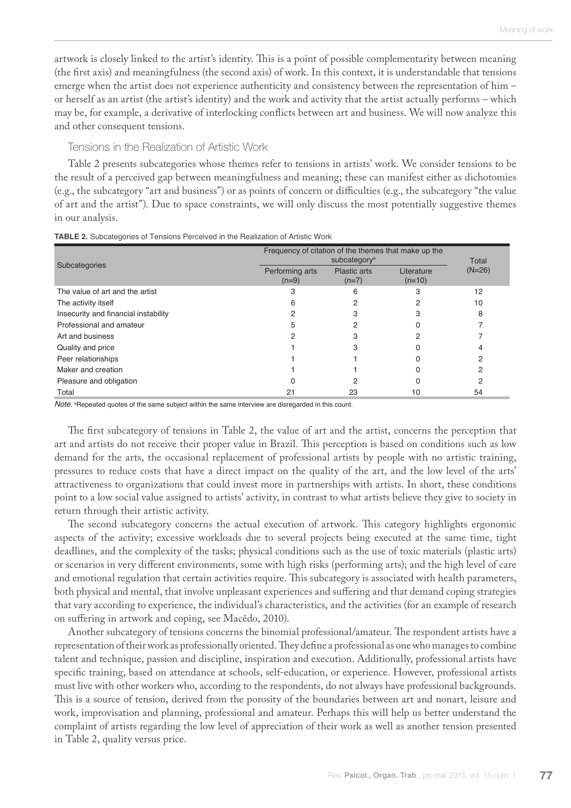artwork is closely linked to the artist's identity. This is a point of possible complementarity between meaning (the first axis) and meaningfulness (the second axis) of work. In this context, it is understandable that tensions emerge when the artist does not experience authenticity and consistency between the representation of him – or herself as an artist (the artist's identity) and the work and activity that the artist actually performs – which may be, for example, a derivative of interlocking conflicts between art and business. We will now analyze this and other consequent tensions.

## Tensions in the Realization of Artistic Work

Table 2 presents subcategories whose themes refer to tensions in artists' work. We consider tensions to be the result of a perceived gap between meaningfulness and meaning; these can manifest either as dichotomies (e.g., the subcategory "art and business") or as points of concern or difficulties (e.g., the subcategory "the value of art and the artist"). Due to space constraints, we will only discuss the most potentially suggestive themes in our analysis.

| Subcategories                        | Frequency of citation of the themes that make up the | Total                          |                        |          |
|--------------------------------------|------------------------------------------------------|--------------------------------|------------------------|----------|
|                                      | Performing arts<br>$(n=9)$                           | <b>Plastic arts</b><br>$(n=7)$ | Literature<br>$(n=10)$ | $(N=26)$ |
| The value of art and the artist      |                                                      | 6                              |                        | 12       |
| The activity itself                  | h                                                    |                                |                        | 10       |
| Insecurity and financial instability |                                                      |                                |                        | 8        |
| Professional and amateur             |                                                      |                                |                        |          |
| Art and business                     |                                                      |                                |                        |          |
| Quality and price                    |                                                      |                                |                        |          |
| Peer relationships                   |                                                      |                                |                        |          |
| Maker and creation                   |                                                      |                                |                        |          |
| Pleasure and obligation              |                                                      |                                |                        |          |
| Total                                | 21                                                   | 23                             | 10                     | 54       |

| <b>TABLE 2.</b> Subcategories of Tensions Perceived in the Realization of Artistic Work |  |  |  |  |  |  |  |  |
|-----------------------------------------------------------------------------------------|--|--|--|--|--|--|--|--|
|-----------------------------------------------------------------------------------------|--|--|--|--|--|--|--|--|

Note. <sup>a</sup>Repeated quotes of the same subject within the same interview are disregarded in this count.

The first subcategory of tensions in Table 2, the value of art and the artist, concerns the perception that art and artists do not receive their proper value in Brazil. This perception is based on conditions such as low demand for the arts, the occasional replacement of professional artists by people with no artistic training, pressures to reduce costs that have a direct impact on the quality of the art, and the low level of the arts' attractiveness to organizations that could invest more in partnerships with artists. In short, these conditions point to a low social value assigned to artists' activity, in contrast to what artists believe they give to society in return through their artistic activity.

The second subcategory concerns the actual execution of artwork. This category highlights ergonomic aspects of the activity; excessive workloads due to several projects being executed at the same time, tight deadlines, and the complexity of the tasks; physical conditions such as the use of toxic materials (plastic arts) or scenarios in very different environments, some with high risks (performing arts); and the high level of care and emotional regulation that certain activities require. This subcategory is associated with health parameters, both physical and mental, that involve unpleasant experiences and suffering and that demand coping strategies that vary according to experience, the individual's characteristics, and the activities (for an example of research on suffering in artwork and coping, see Macêdo, 2010).

Another subcategory of tensions concerns the binomial professional/amateur. The respondent artists have a representation of their work as professionally oriented. They define a professional as one who manages to combine talent and technique, passion and discipline, inspiration and execution. Additionally, professional artists have specific training, based on attendance at schools, self-education, or experience. However, professional artists must live with other workers who, according to the respondents, do not always have professional backgrounds. This is a source of tension, derived from the porosity of the boundaries between art and nonart, leisure and work, improvisation and planning, professional and amateur. Perhaps this will help us better understand the complaint of artists regarding the low level of appreciation of their work as well as another tension presented in Table 2, quality versus price.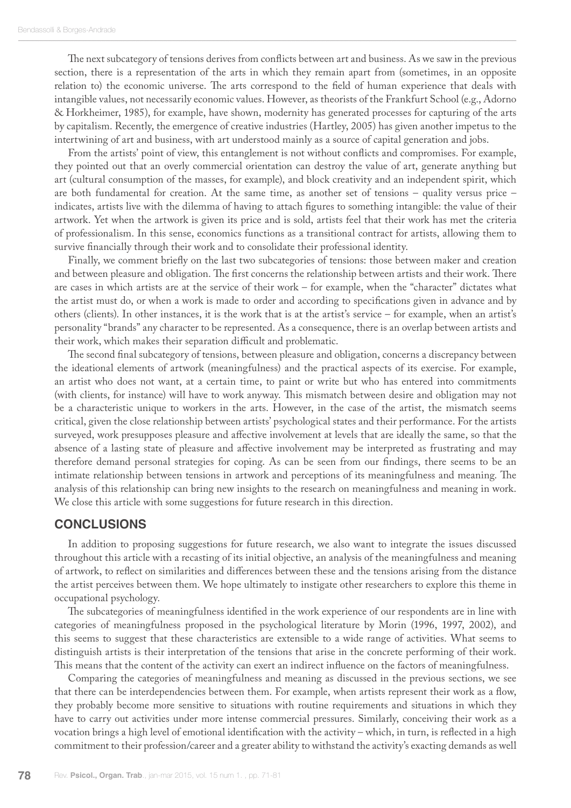The next subcategory of tensions derives from conflicts between art and business. As we saw in the previous section, there is a representation of the arts in which they remain apart from (sometimes, in an opposite relation to) the economic universe. The arts correspond to the field of human experience that deals with intangible values, not necessarily economic values. However, as theorists of the Frankfurt School (e.g., Adorno & Horkheimer, 1985), for example, have shown, modernity has generated processes for capturing of the arts by capitalism. Recently, the emergence of creative industries (Hartley, 2005) has given another impetus to the intertwining of art and business, with art understood mainly as a source of capital generation and jobs.

From the artists' point of view, this entanglement is not without conflicts and compromises. For example, they pointed out that an overly commercial orientation can destroy the value of art, generate anything but art (cultural consumption of the masses, for example), and block creativity and an independent spirit, which are both fundamental for creation. At the same time, as another set of tensions – quality versus price – indicates, artists live with the dilemma of having to attach figures to something intangible: the value of their artwork. Yet when the artwork is given its price and is sold, artists feel that their work has met the criteria of professionalism. In this sense, economics functions as a transitional contract for artists, allowing them to survive financially through their work and to consolidate their professional identity.

Finally, we comment briefly on the last two subcategories of tensions: those between maker and creation and between pleasure and obligation. The first concerns the relationship between artists and their work. There are cases in which artists are at the service of their work – for example, when the "character" dictates what the artist must do, or when a work is made to order and according to specifications given in advance and by others (clients). In other instances, it is the work that is at the artist's service – for example, when an artist's personality "brands" any character to be represented. As a consequence, there is an overlap between artists and their work, which makes their separation difficult and problematic.

The second final subcategory of tensions, between pleasure and obligation, concerns a discrepancy between the ideational elements of artwork (meaningfulness) and the practical aspects of its exercise. For example, an artist who does not want, at a certain time, to paint or write but who has entered into commitments (with clients, for instance) will have to work anyway. This mismatch between desire and obligation may not be a characteristic unique to workers in the arts. However, in the case of the artist, the mismatch seems critical, given the close relationship between artists' psychological states and their performance. For the artists surveyed, work presupposes pleasure and affective involvement at levels that are ideally the same, so that the absence of a lasting state of pleasure and affective involvement may be interpreted as frustrating and may therefore demand personal strategies for coping. As can be seen from our findings, there seems to be an intimate relationship between tensions in artwork and perceptions of its meaningfulness and meaning. The analysis of this relationship can bring new insights to the research on meaningfulness and meaning in work. We close this article with some suggestions for future research in this direction.

## **CONCLUSIONS**

In addition to proposing suggestions for future research, we also want to integrate the issues discussed throughout this article with a recasting of its initial objective, an analysis of the meaningfulness and meaning of artwork, to reflect on similarities and differences between these and the tensions arising from the distance the artist perceives between them. We hope ultimately to instigate other researchers to explore this theme in occupational psychology.

The subcategories of meaningfulness identified in the work experience of our respondents are in line with categories of meaningfulness proposed in the psychological literature by Morin (1996, 1997, 2002), and this seems to suggest that these characteristics are extensible to a wide range of activities. What seems to distinguish artists is their interpretation of the tensions that arise in the concrete performing of their work. This means that the content of the activity can exert an indirect influence on the factors of meaningfulness.

Comparing the categories of meaningfulness and meaning as discussed in the previous sections, we see that there can be interdependencies between them. For example, when artists represent their work as a flow, they probably become more sensitive to situations with routine requirements and situations in which they have to carry out activities under more intense commercial pressures. Similarly, conceiving their work as a vocation brings a high level of emotional identification with the activity – which, in turn, is reflected in a high commitment to their profession/career and a greater ability to withstand the activity's exacting demands as well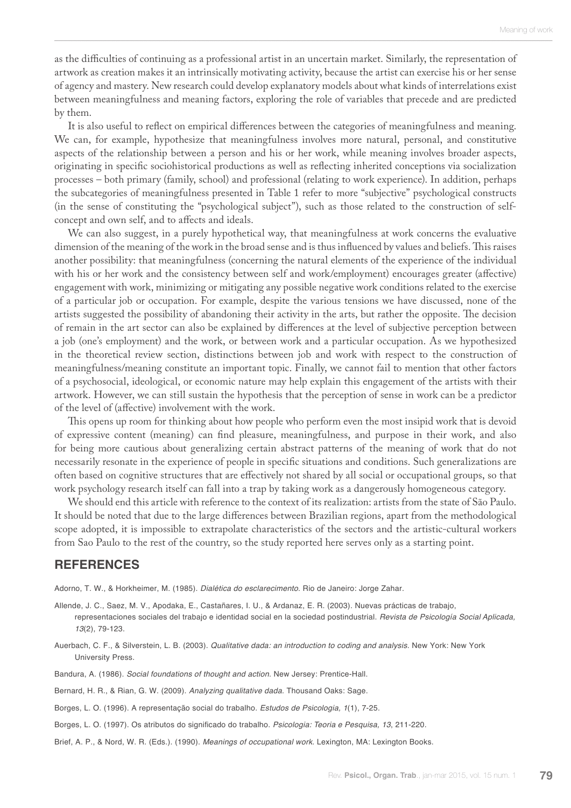as the difficulties of continuing as a professional artist in an uncertain market. Similarly, the representation of artwork as creation makes it an intrinsically motivating activity, because the artist can exercise his or her sense of agency and mastery. New research could develop explanatory models about what kinds of interrelations exist between meaningfulness and meaning factors, exploring the role of variables that precede and are predicted by them.

It is also useful to reflect on empirical differences between the categories of meaningfulness and meaning. We can, for example, hypothesize that meaningfulness involves more natural, personal, and constitutive aspects of the relationship between a person and his or her work, while meaning involves broader aspects, originating in specific sociohistorical productions as well as reflecting inherited conceptions via socialization processes – both primary (family, school) and professional (relating to work experience). In addition, perhaps the subcategories of meaningfulness presented in Table 1 refer to more "subjective" psychological constructs (in the sense of constituting the "psychological subject"), such as those related to the construction of selfconcept and own self, and to affects and ideals.

We can also suggest, in a purely hypothetical way, that meaningfulness at work concerns the evaluative dimension of the meaning of the work in the broad sense and is thus influenced by values and beliefs. This raises another possibility: that meaningfulness (concerning the natural elements of the experience of the individual with his or her work and the consistency between self and work/employment) encourages greater (affective) engagement with work, minimizing or mitigating any possible negative work conditions related to the exercise of a particular job or occupation. For example, despite the various tensions we have discussed, none of the artists suggested the possibility of abandoning their activity in the arts, but rather the opposite. The decision of remain in the art sector can also be explained by differences at the level of subjective perception between a job (one's employment) and the work, or between work and a particular occupation. As we hypothesized in the theoretical review section, distinctions between job and work with respect to the construction of meaningfulness/meaning constitute an important topic. Finally, we cannot fail to mention that other factors of a psychosocial, ideological, or economic nature may help explain this engagement of the artists with their artwork. However, we can still sustain the hypothesis that the perception of sense in work can be a predictor of the level of (affective) involvement with the work.

This opens up room for thinking about how people who perform even the most insipid work that is devoid of expressive content (meaning) can find pleasure, meaningfulness, and purpose in their work, and also for being more cautious about generalizing certain abstract patterns of the meaning of work that do not necessarily resonate in the experience of people in specific situations and conditions. Such generalizations are often based on cognitive structures that are effectively not shared by all social or occupational groups, so that work psychology research itself can fall into a trap by taking work as a dangerously homogeneous category.

We should end this article with reference to the context of its realization: artists from the state of São Paulo. It should be noted that due to the large differences between Brazilian regions, apart from the methodological scope adopted, it is impossible to extrapolate characteristics of the sectors and the artistic-cultural workers from Sao Paulo to the rest of the country, so the study reported here serves only as a starting point.

## **REFERENCES**

Adorno, T. W., & Horkheimer, M. (1985). *Dialética do esclarecimento*. Rio de Janeiro: Jorge Zahar.

- Allende, J. C., Saez, M. V., Apodaka, E., Castañares, I. U., & Ardanaz, E. R. (2003). Nuevas prácticas de trabajo, representaciones sociales del trabajo e identidad social en la sociedad postindustrial. *Revista de Psicología Social Aplicada, 13*(2), 79-123.
- Auerbach, C. F., & Silverstein, L. B. (2003). *Qualitative dada: an introduction to coding and analysis*. New York: New York University Press.
- Bandura, A. (1986). *Social foundations of thought and action*. New Jersey: Prentice-Hall.
- Bernard, H. R., & Rian, G. W. (2009). *Analyzing qualitative dada*. Thousand Oaks: Sage.
- Borges, L. O. (1996). A representação social do trabalho. *Estudos de Psicologia, 1*(1), 7-25.
- Borges, L. O. (1997). Os atributos do significado do trabalho. *Psicologia: Teoria e Pesquisa, 13*, 211-220.
- Brief, A. P., & Nord, W. R. (Eds.). (1990). *Meanings of occupational work*. Lexington, MA: Lexington Books.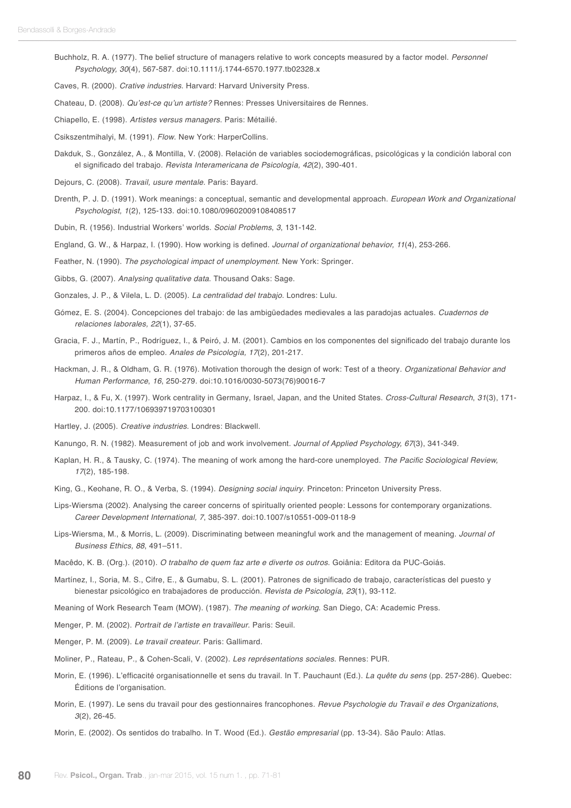Buchholz, R. A. (1977). The belief structure of managers relative to work concepts measured by a factor model. *Personnel Psychology, 30*(4), 567-587. doi:10.1111/j.1744-6570.1977.tb02328.x

Caves, R. (2000). *Crative industries*. Harvard: Harvard University Press.

- Chateau, D. (2008). Qu'est-ce qu'un artiste? Rennes: Presses Universitaires de Rennes.
- Chiapello, E. (1998). *Artistes versus managers*. Paris: Métailié.
- Csikszentmihalyi, M. (1991). *Flow*. New York: HarperCollins.
- Dakduk, S., González, A., & Montilla, V. (2008). Relación de variables sociodemográficas, psicológicas y la condición laboral con el significado del trabajo. *Revista Interamericana de Psicología, 42*(2), 390-401.
- Dejours, C. (2008). *Travail, usure mentale*. Paris: Bayard.
- Drenth, P. J. D. (1991). Work meanings: a conceptual, semantic and developmental approach. *European Work and Organizational Psychologist, 1*(2), 125-133. doi:10.1080/09602009108408517
- Dubin, R. (1956). Industrial Workers' worlds. *Social Problems*, *3*, 131-142.
- England, G. W., & Harpaz, I. (1990). How working is defined. *Journal of organizational behavior, 11*(4), 253-266.
- Feather, N. (1990). *The psychological impact of unemployment*. New York: Springer.
- Gibbs, G. (2007). *Analysing qualitative data*. Thousand Oaks: Sage.
- Gonzales, J. P., & Vilela, L. D. (2005). *La centralidad del trabajo*. Londres: Lulu.
- Gómez, E. S. (2004). Concepciones del trabajo: de las ambigüedades medievales a las paradojas actuales. *Cuadernos de relaciones laborales, 22*(1), 37-65.
- Gracia, F. J., Martín, P., Rodríguez, I., & Peiró, J. M. (2001). Cambios en los componentes del significado del trabajo durante los primeros años de empleo. *Anales de Psicología, 17*(2), 201-217.
- Hackman, J. R., & Oldham, G. R. (1976). Motivation thorough the design of work: Test of a theory. *Organizational Behavior and Human Performance*, *16*, 250-279. doi:10.1016/0030-5073(76)90016-7
- Harpaz, I., & Fu, X. (1997). Work centrality in Germany, Israel, Japan, and the United States. Cross-Cultural Research, *31*(3), 171- 200. doi:10.1177/106939719703100301
- Hartley, J. (2005). *Creative industries*. Londres: Blackwell.
- Kanungo, R. N. (1982). Measurement of job and work involvement. *Journal of Applied Psychology, 67*(3), 341-349.
- Kaplan, H. R., & Tausky, C. (1974). The meaning of work among the hard-core unemployed. The Pacific Sociological Review, *17*(2), 185-198.
- King, G., Keohane, R. O., & Verba, S. (1994). *Designing social inquiry*. Princeton: Princeton University Press.
- Lips-Wiersma (2002). Analysing the career concerns of spiritually oriented people: Lessons for contemporary organizations. *Career Development International, 7*, 385-397. doi:10.1007/s10551-009-0118-9
- Lips-Wiersma, M., & Morris, L. (2009). Discriminating between meaningful work and the management of meaning. *Journal of Business Ethics, 88*, 491–511.
- Macêdo, K. B. (Org.). (2010). *O trabalho de quem faz arte e diverte os outros*. Goiânia: Editora da PUC-Goiás.
- Martínez, I., Soria, M. S., Cifre, E., & Gumabu, S. L. (2001). Patrones de significado de trabajo, características del puesto y bienestar psicológico en trabajadores de producción. *Revista de Psicología, 23*(1), 93-112.
- Meaning of Work Research Team (MOW). (1987). *The meaning of working*. San Diego, CA: Academic Press.
- Menger, P. M. (2002). Portrait de l'artiste en travailleur. Paris: Seuil.
- Menger, P. M. (2009). *Le travail createur*. Paris: Gallimard.
- Moliner, P., Rateau, P., & Cohen-Scali, V. (2002). *Les représentations sociales*. Rennes: PUR.
- Morin, E. (1996). L'efficacité organisationnelle et sens du travail. In T. Pauchaunt (Ed.). *La quête du sens* (pp. 257-286). Quebec: Éditions de l'organisation.
- Morin, E. (1997). Le sens du travail pour des gestionnaires francophones. *Revue Psychologie du Travail e des Organizations*, *3*(2), 26-45.

Morin, E. (2002). Os sentidos do trabalho. In T. Wood (Ed.). *Gestão empresarial* (pp. 13-34). São Paulo: Atlas.